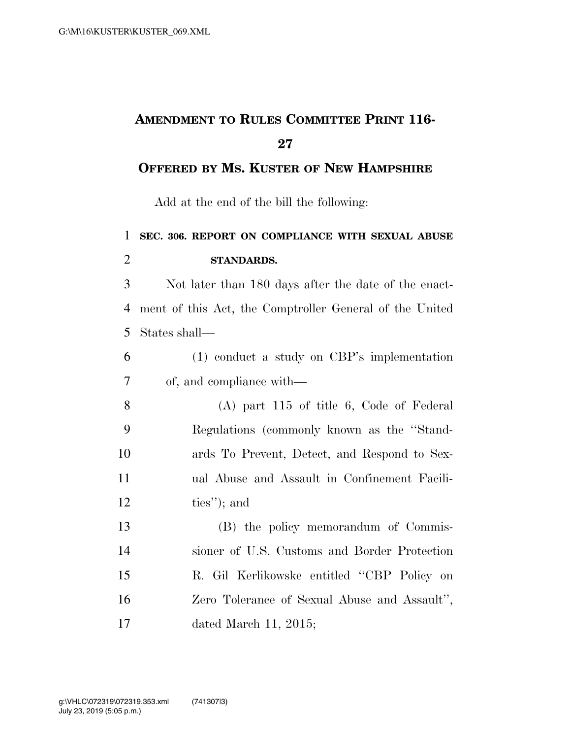## **AMENDMENT TO RULES COMMITTEE PRINT 116-**

## **OFFERED BY MS. KUSTER OF NEW HAMPSHIRE**

Add at the end of the bill the following:

## **SEC. 306. REPORT ON COMPLIANCE WITH SEXUAL ABUSE STANDARDS.**

 Not later than 180 days after the date of the enact- ment of this Act, the Comptroller General of the United States shall—

 (1) conduct a study on CBP's implementation of, and compliance with—

 (A) part 115 of title 6, Code of Federal Regulations (commonly known as the ''Stand- ards To Prevent, Detect, and Respond to Sex- ual Abuse and Assault in Confinement Facili-ties''); and

 (B) the policy memorandum of Commis- sioner of U.S. Customs and Border Protection R. Gil Kerlikowske entitled ''CBP Policy on Zero Tolerance of Sexual Abuse and Assault'', dated March 11, 2015;